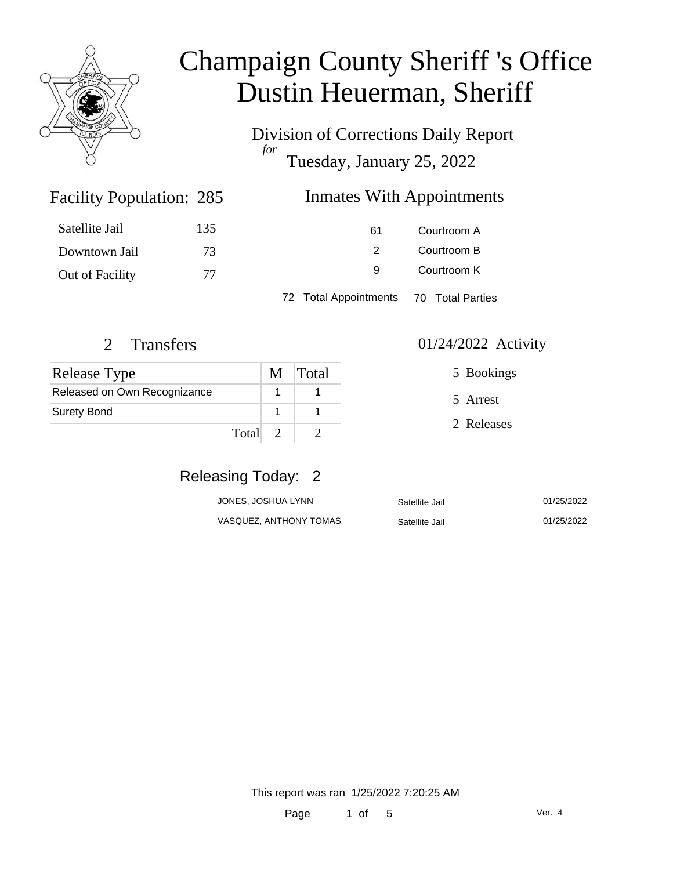

Division of Corrections Daily Report *for* Tuesday, January 25, 2022

### Inmates With Appointments

| Satellite Jail  | 135 | 61 | Courtroom A |
|-----------------|-----|----|-------------|
| Downtown Jail   | 73  |    | Courtroom B |
| Out of Facility | 77  | q  | Courtroom K |

72 Total Appointments 70 Total Parties

Facility Population: 285

| <b>Release Type</b>          | M Total |
|------------------------------|---------|
| Released on Own Recognizance |         |
| Surety Bond                  |         |
| Total 2                      |         |

2 Transfers 01/24/2022 Activity

5 Bookings

5 Arrest

2 Releases

### Releasing Today: 2

| JONES, JOSHUA LYNN     | Satellite Jail | 01/25/2022 |
|------------------------|----------------|------------|
| VASQUEZ, ANTHONY TOMAS | Satellite Jail | 01/25/2022 |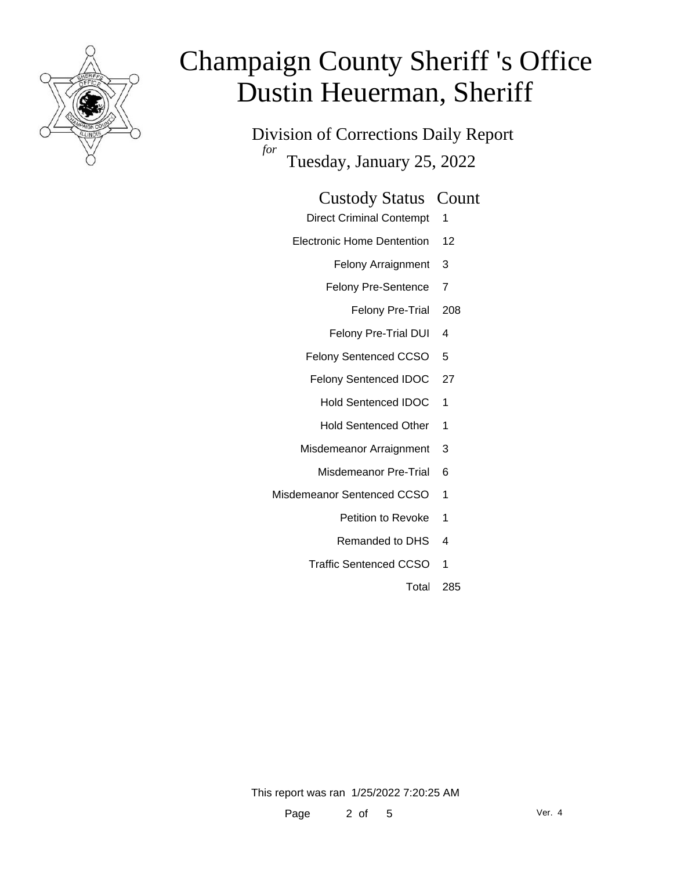

Division of Corrections Daily Report *for* Tuesday, January 25, 2022

#### Custody Status Count

- Direct Criminal Contempt 1
- Electronic Home Dentention 12
	- Felony Arraignment 3
	- Felony Pre-Sentence 7
		- Felony Pre-Trial 208
	- Felony Pre-Trial DUI 4
	- Felony Sentenced CCSO 5
	- Felony Sentenced IDOC 27
		- Hold Sentenced IDOC 1
		- Hold Sentenced Other 1
	- Misdemeanor Arraignment 3
		- Misdemeanor Pre-Trial 6
- Misdemeanor Sentenced CCSO 1
	- Petition to Revoke 1
	- Remanded to DHS 4
	- Traffic Sentenced CCSO 1
		- Total 285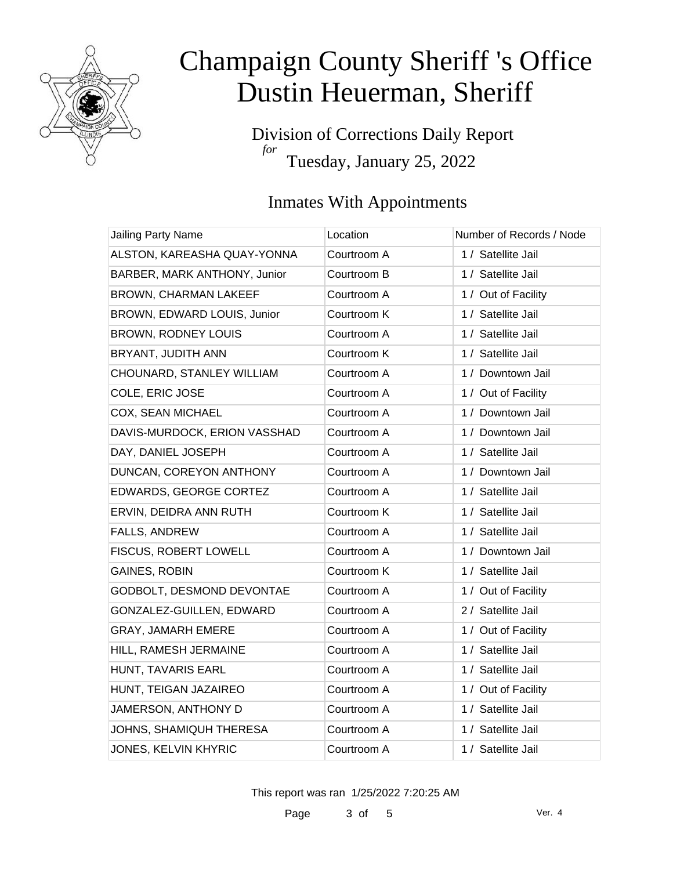

Division of Corrections Daily Report *for* Tuesday, January 25, 2022

### Inmates With Appointments

| <b>Jailing Party Name</b>    | Location    | Number of Records / Node |
|------------------------------|-------------|--------------------------|
| ALSTON, KAREASHA QUAY-YONNA  | Courtroom A | 1 / Satellite Jail       |
| BARBER, MARK ANTHONY, Junior | Courtroom B | 1 / Satellite Jail       |
| BROWN, CHARMAN LAKEEF        | Courtroom A | 1 / Out of Facility      |
| BROWN, EDWARD LOUIS, Junior  | Courtroom K | 1 / Satellite Jail       |
| <b>BROWN, RODNEY LOUIS</b>   | Courtroom A | 1 / Satellite Jail       |
| BRYANT, JUDITH ANN           | Courtroom K | 1 / Satellite Jail       |
| CHOUNARD, STANLEY WILLIAM    | Courtroom A | 1 / Downtown Jail        |
| COLE, ERIC JOSE              | Courtroom A | 1 / Out of Facility      |
| COX, SEAN MICHAEL            | Courtroom A | 1 / Downtown Jail        |
| DAVIS-MURDOCK, ERION VASSHAD | Courtroom A | 1 / Downtown Jail        |
| DAY, DANIEL JOSEPH           | Courtroom A | 1 / Satellite Jail       |
| DUNCAN, COREYON ANTHONY      | Courtroom A | 1 / Downtown Jail        |
| EDWARDS, GEORGE CORTEZ       | Courtroom A | 1 / Satellite Jail       |
| ERVIN, DEIDRA ANN RUTH       | Courtroom K | 1 / Satellite Jail       |
| FALLS, ANDREW                | Courtroom A | 1 / Satellite Jail       |
| FISCUS, ROBERT LOWELL        | Courtroom A | 1 / Downtown Jail        |
| <b>GAINES, ROBIN</b>         | Courtroom K | 1 / Satellite Jail       |
| GODBOLT, DESMOND DEVONTAE    | Courtroom A | 1 / Out of Facility      |
| GONZALEZ-GUILLEN, EDWARD     | Courtroom A | 2 / Satellite Jail       |
| GRAY, JAMARH EMERE           | Courtroom A | 1 / Out of Facility      |
| HILL, RAMESH JERMAINE        | Courtroom A | 1 / Satellite Jail       |
| HUNT, TAVARIS EARL           | Courtroom A | 1 / Satellite Jail       |
| HUNT, TEIGAN JAZAIREO        | Courtroom A | 1 / Out of Facility      |
| JAMERSON, ANTHONY D          | Courtroom A | 1 / Satellite Jail       |
| JOHNS, SHAMIQUH THERESA      | Courtroom A | 1 / Satellite Jail       |
| <b>JONES, KELVIN KHYRIC</b>  | Courtroom A | 1 / Satellite Jail       |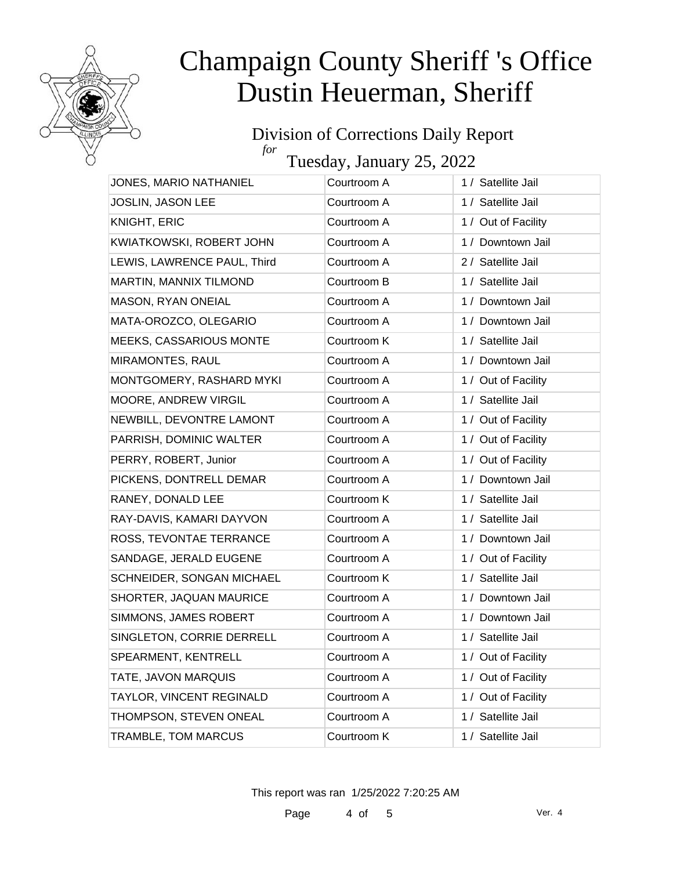

#### Division of Corrections Daily Report *for*

Tuesday, January 25, 2022

| JONES, MARIO NATHANIEL         | Courtroom A | 1 / Satellite Jail  |
|--------------------------------|-------------|---------------------|
| JOSLIN, JASON LEE              | Courtroom A | 1 / Satellite Jail  |
| KNIGHT, ERIC                   | Courtroom A | 1 / Out of Facility |
| KWIATKOWSKI, ROBERT JOHN       | Courtroom A | 1 / Downtown Jail   |
| LEWIS, LAWRENCE PAUL, Third    | Courtroom A | 2 / Satellite Jail  |
| MARTIN, MANNIX TILMOND         | Courtroom B | 1 / Satellite Jail  |
| MASON, RYAN ONEIAL             | Courtroom A | 1 / Downtown Jail   |
| MATA-OROZCO, OLEGARIO          | Courtroom A | 1 / Downtown Jail   |
| <b>MEEKS, CASSARIOUS MONTE</b> | Courtroom K | 1 / Satellite Jail  |
| <b>MIRAMONTES, RAUL</b>        | Courtroom A | 1 / Downtown Jail   |
| MONTGOMERY, RASHARD MYKI       | Courtroom A | 1 / Out of Facility |
| MOORE, ANDREW VIRGIL           | Courtroom A | 1 / Satellite Jail  |
| NEWBILL, DEVONTRE LAMONT       | Courtroom A | 1 / Out of Facility |
| PARRISH, DOMINIC WALTER        | Courtroom A | 1 / Out of Facility |
| PERRY, ROBERT, Junior          | Courtroom A | 1 / Out of Facility |
| PICKENS, DONTRELL DEMAR        | Courtroom A | 1 / Downtown Jail   |
| RANEY, DONALD LEE              | Courtroom K | 1 / Satellite Jail  |
| RAY-DAVIS, KAMARI DAYVON       | Courtroom A | 1 / Satellite Jail  |
| ROSS, TEVONTAE TERRANCE        | Courtroom A | 1 / Downtown Jail   |
| SANDAGE, JERALD EUGENE         | Courtroom A | 1 / Out of Facility |
| SCHNEIDER, SONGAN MICHAEL      | Courtroom K | 1 / Satellite Jail  |
| SHORTER, JAQUAN MAURICE        | Courtroom A | 1 / Downtown Jail   |
| SIMMONS, JAMES ROBERT          | Courtroom A | 1 / Downtown Jail   |
| SINGLETON, CORRIE DERRELL      | Courtroom A | 1 / Satellite Jail  |
| SPEARMENT, KENTRELL            | Courtroom A | 1 / Out of Facility |
| TATE, JAVON MARQUIS            | Courtroom A | 1 / Out of Facility |
| TAYLOR, VINCENT REGINALD       | Courtroom A | 1 / Out of Facility |
| THOMPSON, STEVEN ONEAL         | Courtroom A | 1 / Satellite Jail  |
| TRAMBLE, TOM MARCUS            | Courtroom K | 1 / Satellite Jail  |